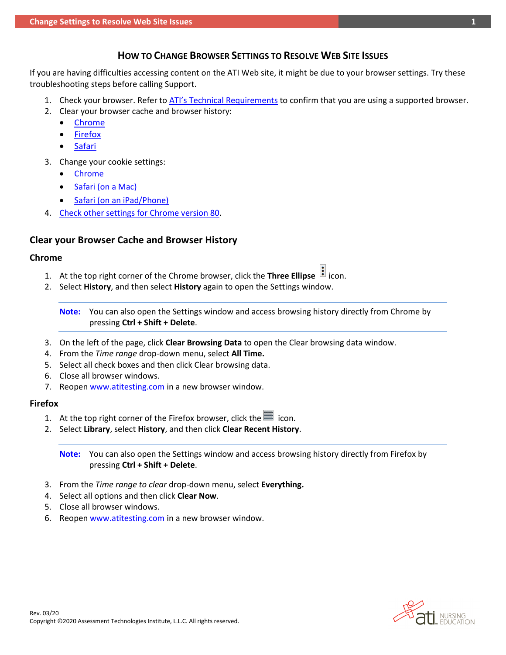# **HOW TO CHANGE BROWSER SETTINGS TO RESOLVE WEB SITE ISSUES**

<span id="page-0-2"></span>If you are having difficulties accessing content on the ATI Web site, it might be due to your browser settings. Try these troubleshooting steps before calling Support.

- 1. Check your browser. Refer to [ATI's Technical Requirements](https://www.atitesting.com/educator/technical-requirements) to confirm that you are using a supported browser.
- 2. Clear your browser cache and browser history:
	- [Chrome](#page-0-0)
	- [Firefox](#page-0-1)
	- [Safari](#page-1-0)
- 3. Change your cookie settings:
	- [Chrome](#page-1-1)
	- [Safari \(on a](#page-1-2) Mac)
	- [Safari \(on an](#page-1-3) iPad/Phone)
- 4. [Check other settings for Chrome version 80.](#page-1-4)

## **Clear your Browser Cache and Browser History**

## <span id="page-0-0"></span>**Chrome**

- 1. At the top right corner of the Chrome browser, click the **Three Ellipse** icon.
- 2. Select **History**, and then select **History** again to open the Settings window.

**Note:** You can also open the Settings window and access browsing history directly from Chrome by pressing **Ctrl + Shift + Delete**.

- 3. On the left of the page, click **Clear Browsing Data** to open the Clear browsing data window.
- 4. From the *Time range* drop-down menu, select **All Time.**
- 5. Select all check boxes and then click Clear browsing data.
- 6. Close all browser windows.
- 7. Reopen [www.atitesting.com i](http://www.atitesting.com/)n a new browser window.

## <span id="page-0-1"></span>**Firefox**

- 1. At the top right corner of the Firefox browser, click the  $\blacksquare$  icon.
- 2. Select **Library**, select **History**, and then click **Clear Recent History**.

**Note:** You can also open the Settings window and access browsing history directly from Firefox by pressing **Ctrl + Shift + Delete**.

- 3. From the *Time range to clear* drop-down menu, select **Everything.**
- 4. Select all options and then click **Clear Now**.
- 5. Close all browser windows.
- 6. Reopen [www.atitesting.com i](http://www.atitesting.com/)n a new browser window.